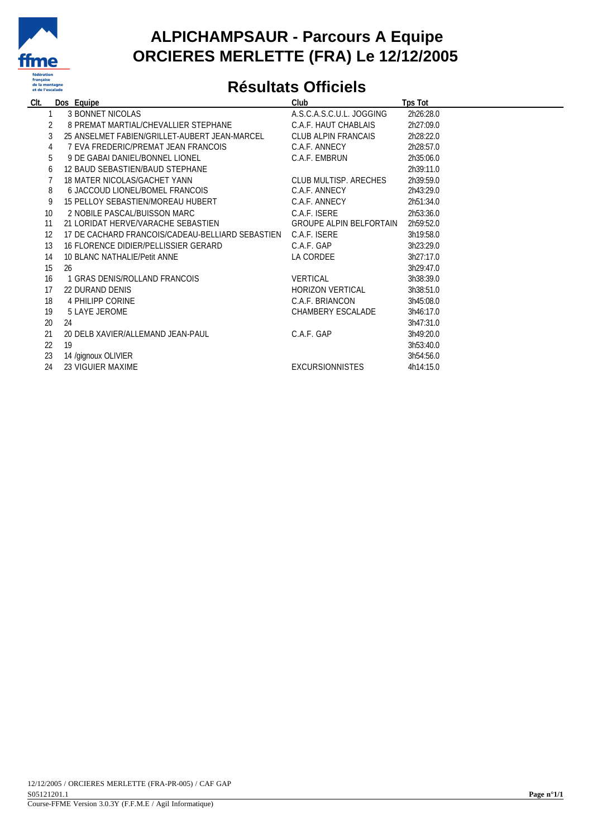

### **ALPICHAMPSAUR - Parcours A Equipe ORCIERES MERLETTE (FRA) Le 12/12/2005**

## **Résultats Officiels**

| CIt.            |    | Dos Equipe                                       | Club                           | <b>Tps Tot</b> |
|-----------------|----|--------------------------------------------------|--------------------------------|----------------|
|                 |    | <b>3 BONNET NICOLAS</b>                          | A.S.C.A.S.C.U.L. JOGGING       | 2h26:28.0      |
|                 |    | 8 PREMAT MARTIAL/CHEVALLIER STEPHANE             | C.A.F. HAUT CHABLAIS           | 2h27:09.0      |
|                 |    | 25 ANSELMET FABIEN/GRILLET-AUBERT JEAN-MARCEL    | CLUB ALPIN FRANCAIS            | 2h28:22.0      |
| 4               |    | 7 EVA FREDERIC/PREMAT JEAN FRANCOIS              | C.A.F. ANNECY                  | 2h28:57.0      |
| 5               |    | 9 DE GABAI DANIEL/BONNEL LIONEL                  | C.A.F. EMBRUN                  | 2h35:06.0      |
| 6               |    | 12 BAUD SEBASTIEN/BAUD STEPHANE                  |                                | 2h39:11.0      |
|                 |    | 18 MATER NICOLAS/GACHET YANN                     | CLUB MULTISP, ARECHES          | 2h39:59.0      |
| 8               |    | 6 JACCOUD LIONEL/BOMEL FRANCOIS                  | C.A.F. ANNECY                  | 2h43:29.0      |
| 9               |    | 15 PELLOY SEBASTIEN/MOREAU HUBERT                | C.A.F. ANNECY                  | 2h51:34.0      |
| 10 <sup>1</sup> |    | 2 NOBILE PASCAL/BUISSON MARC                     | C.A.F. ISERE                   | 2h53:36.0      |
| 11              |    | 21 LORIDAT HERVE/VARACHE SEBASTIEN               | <b>GROUPE ALPIN BELFORTAIN</b> | 2h59:52.0      |
| 12              |    | 17 DE CACHARD FRANCOIS/CADEAU-BELLIARD SEBASTIEN | C.A.F. ISERE                   | 3h19:58.0      |
| 13              |    | 16 FLORENCE DIDIER/PELLISSIER GERARD             | C.A.F. GAP                     | 3h23:29.0      |
| 14              |    | 10 BLANC NATHALIF/Petit ANNE                     | LA CORDEE                      | 3h27:17.0      |
| 15              | 26 |                                                  |                                | 3h29:47.0      |
| 16              |    | 1 GRAS DENIS/ROLLAND FRANCOIS                    | <b>VERTICAL</b>                | 3h38:39.0      |
| 17              |    | 22 DURAND DENIS                                  | <b>HORIZON VERTICAL</b>        | 3h38:51.0      |
| 18              |    | 4 PHILIPP CORINE                                 | C.A.F. BRIANCON                | 3h45:08.0      |
| 19              |    | 5 LAYE JEROME                                    | CHAMBERY ESCALADE              | 3h46:17.0      |
| 20              | 24 |                                                  |                                | 3h47:31.0      |
| 21              |    | 20 DELB XAVIER/ALLEMAND JEAN-PAUL                | C.A.F. GAP                     | 3h49:20.0      |
| 22              | 19 |                                                  |                                | 3h53:40.0      |
| 23              |    | 14 /gignoux OLIVIER                              |                                | 3h54:56.0      |
| 24              |    | 23 VIGUIER MAXIME                                | <b>EXCURSIONNISTES</b>         | 4h14:15.0      |
|                 |    |                                                  |                                |                |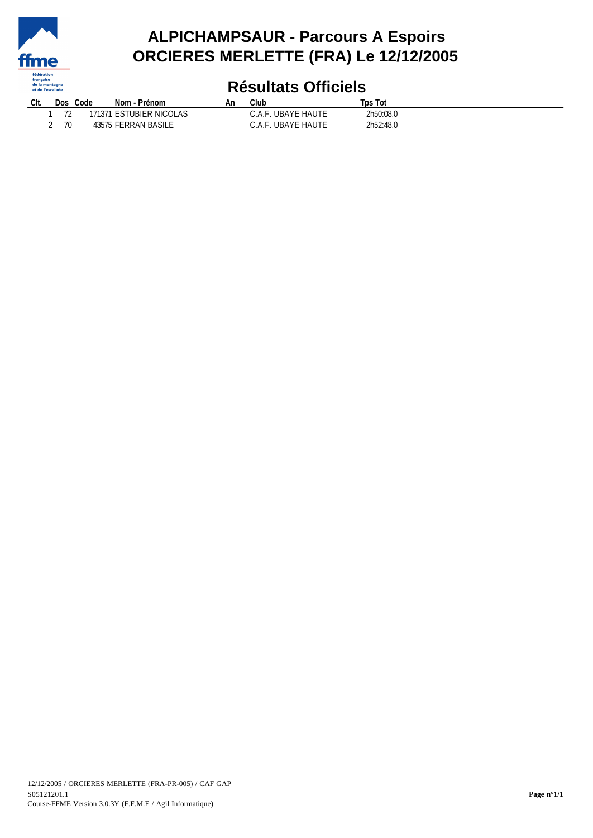

### **ALPICHAMPSAUR - Parcours A Espoirs ORCIERES MERLETTE (FRA) Le 12/12/2005**

# **Résultats Officiels**

| Clt. | <b>Dos</b>    | Code  | · Prénom<br>Nom - | An | Club                    | <b>Tps Tot</b> |
|------|---------------|-------|-------------------|----|-------------------------|----------------|
|      | $\neg$        |       | LESTUBIER NICOLAS |    | . UBAYE HAUTE<br>A F    | 2h50:08.0      |
|      | $\neg \wedge$ | 43575 | FERRAN BASILE     |    | F. UBAYE HAUTE<br>C.A.F | 2h52:48.0      |